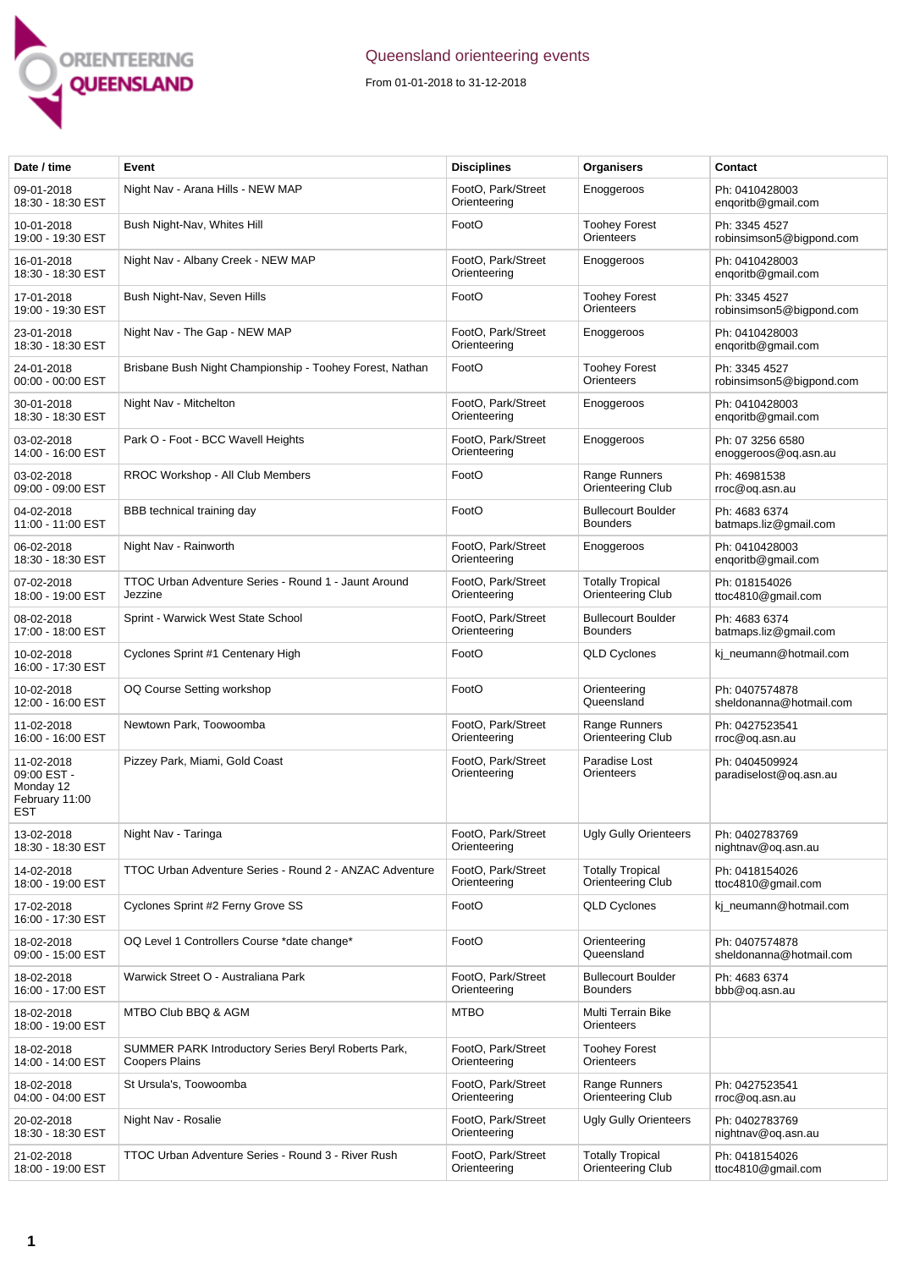

## Queensland orienteering events

From 01-01-2018 to 31-12-2018

| Date / time                                                            | Event                                                                        | <b>Disciplines</b>                 | Organisers                                   | Contact                                   |
|------------------------------------------------------------------------|------------------------------------------------------------------------------|------------------------------------|----------------------------------------------|-------------------------------------------|
| 09-01-2018<br>18:30 - 18:30 EST                                        | Night Nav - Arana Hills - NEW MAP                                            | FootO, Park/Street<br>Orienteering | Enoggeroos                                   | Ph: 0410428003<br>engoritb@gmail.com      |
| 10-01-2018<br>19:00 - 19:30 EST                                        | Bush Night-Nav, Whites Hill                                                  | FootO                              | <b>Toohey Forest</b><br>Orienteers           | Ph: 3345 4527<br>robinsimson5@bigpond.com |
| 16-01-2018<br>18:30 - 18:30 EST                                        | Night Nav - Albany Creek - NEW MAP                                           | FootO, Park/Street<br>Orienteering | Enoggeroos                                   | Ph: 0410428003<br>engoritb@gmail.com      |
| 17-01-2018<br>19:00 - 19:30 EST                                        | Bush Night-Nav, Seven Hills                                                  | FootO                              | <b>Toohey Forest</b><br>Orienteers           | Ph: 3345 4527<br>robinsimson5@bigpond.com |
| 23-01-2018<br>18:30 - 18:30 EST                                        | Night Nav - The Gap - NEW MAP                                                | FootO, Park/Street<br>Orienteering | Enoggeroos                                   | Ph: 0410428003<br>enqoritb@gmail.com      |
| 24-01-2018<br>00:00 - 00:00 EST                                        | Brisbane Bush Night Championship - Toohey Forest, Nathan                     | FootO                              | <b>Toohey Forest</b><br>Orienteers           | Ph: 3345 4527<br>robinsimson5@bigpond.com |
| 30-01-2018<br>18:30 - 18:30 EST                                        | Night Nav - Mitchelton                                                       | FootO, Park/Street<br>Orienteering | Enoggeroos                                   | Ph: 0410428003<br>enqoritb@gmail.com      |
| 03-02-2018<br>14:00 - 16:00 EST                                        | Park O - Foot - BCC Wavell Heights                                           | FootO, Park/Street<br>Orienteering | Enoggeroos                                   | Ph: 07 3256 6580<br>enoggeroos@og.asn.au  |
| 03-02-2018<br>09:00 - 09:00 EST                                        | RROC Workshop - All Club Members                                             | FootO                              | Range Runners<br>Orienteering Club           | Ph: 46981538<br>rroc@oq.asn.au            |
| 04-02-2018<br>11:00 - 11:00 EST                                        | BBB technical training day                                                   | FootO                              | <b>Bullecourt Boulder</b><br><b>Bounders</b> | Ph: 4683 6374<br>batmaps.liz@gmail.com    |
| 06-02-2018<br>18:30 - 18:30 EST                                        | Night Nav - Rainworth                                                        | FootO. Park/Street<br>Orienteering | Enoggeroos                                   | Ph: 0410428003<br>engoritb@gmail.com      |
| 07-02-2018<br>18:00 - 19:00 EST                                        | TTOC Urban Adventure Series - Round 1 - Jaunt Around<br>Jezzine              | FootO, Park/Street<br>Orienteering | <b>Totally Tropical</b><br>Orienteering Club | Ph: 018154026<br>ttoc4810@gmail.com       |
| 08-02-2018<br>17:00 - 18:00 EST                                        | Sprint - Warwick West State School                                           | FootO, Park/Street<br>Orienteering | <b>Bullecourt Boulder</b><br><b>Bounders</b> | Ph: 4683 6374<br>batmaps.liz@gmail.com    |
| 10-02-2018<br>16:00 - 17:30 EST                                        | Cyclones Sprint #1 Centenary High                                            | FootO                              | <b>QLD Cyclones</b>                          | kj_neumann@hotmail.com                    |
| 10-02-2018<br>12:00 - 16:00 EST                                        | OQ Course Setting workshop                                                   | FootO                              | Orienteering<br>Queensland                   | Ph: 0407574878<br>sheldonanna@hotmail.com |
| 11-02-2018<br>16:00 - 16:00 EST                                        | Newtown Park, Toowoomba                                                      | FootO, Park/Street<br>Orienteering | Range Runners<br>Orienteering Club           | Ph: 0427523541<br>rroc@oq.asn.au          |
| 11-02-2018<br>09:00 EST -<br>Monday 12<br>February 11:00<br><b>EST</b> | Pizzey Park, Miami, Gold Coast                                               | FootO, Park/Street<br>Orienteering | Paradise Lost<br>Orienteers                  | Ph: 0404509924<br>paradiselost@og.asn.au  |
| 13-02-2018<br>18:30 - 18:30 EST                                        | Night Nav - Taringa                                                          | FootO, Park/Street<br>Orienteering | <b>Ugly Gully Orienteers</b>                 | Ph: 0402783769<br>nightnav@og.asn.au      |
| 14-02-2018<br>18:00 - 19:00 EST                                        | TTOC Urban Adventure Series - Round 2 - ANZAC Adventure                      | FootO, Park/Street<br>Orienteering | <b>Totally Tropical</b><br>Orienteering Club | Ph: 0418154026<br>ttoc4810@gmail.com      |
| 17-02-2018<br>16:00 - 17:30 EST                                        | Cyclones Sprint #2 Ferny Grove SS                                            | FootO                              | <b>QLD Cyclones</b>                          | ki neumann@hotmail.com                    |
| 18-02-2018<br>09:00 - 15:00 EST                                        | OQ Level 1 Controllers Course *date change*                                  | FootO                              | Orienteering<br>Queensland                   | Ph: 0407574878<br>sheldonanna@hotmail.com |
| 18-02-2018<br>16:00 - 17:00 EST                                        | Warwick Street O - Australiana Park                                          | FootO, Park/Street<br>Orienteering | <b>Bullecourt Boulder</b><br><b>Bounders</b> | Ph: 4683 6374<br>bbb@oq.asn.au            |
| 18-02-2018<br>18:00 - 19:00 EST                                        | MTBO Club BBQ & AGM                                                          | <b>MTBO</b>                        | Multi Terrain Bike<br>Orienteers             |                                           |
| 18-02-2018<br>14:00 - 14:00 EST                                        | SUMMER PARK Introductory Series Beryl Roberts Park,<br><b>Coopers Plains</b> | FootO, Park/Street<br>Orienteering | <b>Toohey Forest</b><br><b>Orienteers</b>    |                                           |
| 18-02-2018<br>04:00 - 04:00 EST                                        | St Ursula's, Toowoomba                                                       | FootO, Park/Street<br>Orienteering | Range Runners<br>Orienteering Club           | Ph: 0427523541<br>rroc@oq.asn.au          |
| 20-02-2018<br>18:30 - 18:30 EST                                        | Night Nav - Rosalie                                                          | FootO, Park/Street<br>Orienteering | <b>Ugly Gully Orienteers</b>                 | Ph: 0402783769<br>nightnav@oq.asn.au      |
| 21-02-2018<br>18:00 - 19:00 EST                                        | TTOC Urban Adventure Series - Round 3 - River Rush                           | FootO, Park/Street<br>Orienteering | <b>Totally Tropical</b><br>Orienteering Club | Ph: 0418154026<br>ttoc4810@gmail.com      |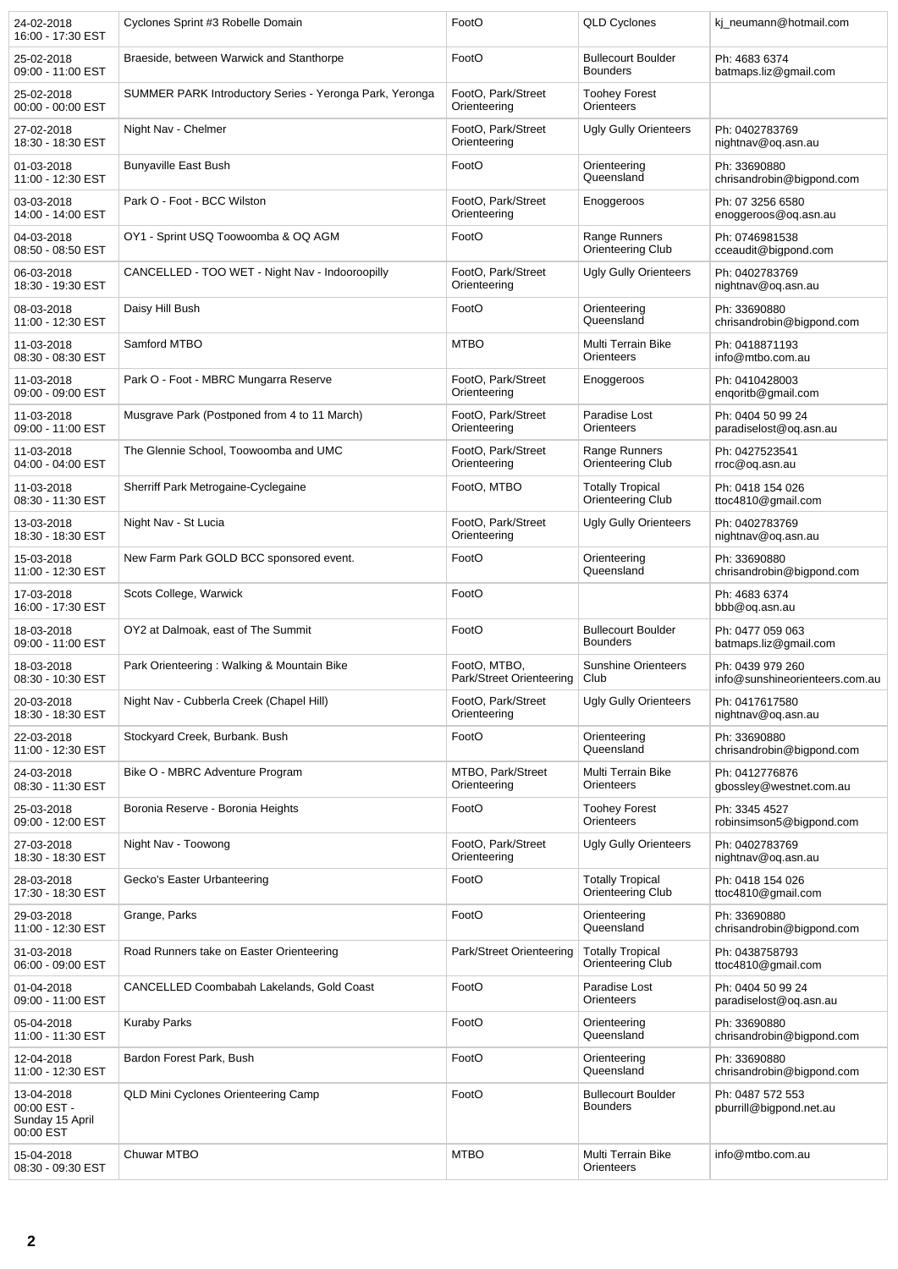| 24-02-2018<br>16:00 - 17:30 EST                           | Cyclones Sprint #3 Robelle Domain                       | FootO                                    | <b>QLD Cyclones</b>                          | kj_neumann@hotmail.com                             |
|-----------------------------------------------------------|---------------------------------------------------------|------------------------------------------|----------------------------------------------|----------------------------------------------------|
| 25-02-2018<br>09:00 - 11:00 EST                           | Braeside, between Warwick and Stanthorpe                | FootO                                    | <b>Bullecourt Boulder</b><br><b>Bounders</b> | Ph: 4683 6374<br>batmaps.liz@gmail.com             |
| 25-02-2018<br>00:00 - 00:00 EST                           | SUMMER PARK Introductory Series - Yeronga Park, Yeronga | FootO. Park/Street<br>Orienteering       | <b>Toohey Forest</b><br><b>Orienteers</b>    |                                                    |
| 27-02-2018<br>18:30 - 18:30 EST                           | Night Nav - Chelmer                                     | FootO, Park/Street<br>Orienteering       | Ugly Gully Orienteers                        | Ph: 0402783769<br>nightnav@oq.asn.au               |
| 01-03-2018<br>11:00 - 12:30 EST                           | <b>Bunyaville East Bush</b>                             | FootO                                    | Orienteering<br>Queensland                   | Ph: 33690880<br>chrisandrobin@bigpond.com          |
| 03-03-2018<br>14:00 - 14:00 EST                           | Park O - Foot - BCC Wilston                             | FootO, Park/Street<br>Orienteering       | Enoggeroos                                   | Ph: 07 3256 6580<br>enoggeroos@og.asn.au           |
| 04-03-2018<br>08:50 - 08:50 EST                           | OY1 - Sprint USQ Toowoomba & OQ AGM                     | FootO                                    | Range Runners<br>Orienteering Club           | Ph: 0746981538<br>cceaudit@bigpond.com             |
| 06-03-2018<br>18:30 - 19:30 EST                           | CANCELLED - TOO WET - Night Nav - Indooroopilly         | FootO, Park/Street<br>Orienteering       | <b>Ugly Gully Orienteers</b>                 | Ph: 0402783769<br>nightnav@oq.asn.au               |
| 08-03-2018<br>11:00 - 12:30 EST                           | Daisy Hill Bush                                         | FootO                                    | Orienteering<br>Queensland                   | Ph: 33690880<br>chrisandrobin@bigpond.com          |
| 11-03-2018<br>08:30 - 08:30 EST                           | Samford MTBO                                            | <b>MTBO</b>                              | Multi Terrain Bike<br><b>Orienteers</b>      | Ph: 0418871193<br>info@mtbo.com.au                 |
| 11-03-2018<br>09:00 - 09:00 EST                           | Park O - Foot - MBRC Mungarra Reserve                   | FootO, Park/Street<br>Orienteering       | Enoggeroos                                   | Ph: 0410428003<br>enqoritb@gmail.com               |
| 11-03-2018<br>09:00 - 11:00 EST                           | Musgrave Park (Postponed from 4 to 11 March)            | FootO, Park/Street<br>Orienteering       | Paradise Lost<br>Orienteers                  | Ph: 0404 50 99 24<br>paradiselost@oq.asn.au        |
| 11-03-2018<br>04:00 - 04:00 EST                           | The Glennie School, Toowoomba and UMC                   | FootO, Park/Street<br>Orienteering       | Range Runners<br>Orienteering Club           | Ph: 0427523541<br>rroc@oq.asn.au                   |
| 11-03-2018<br>08:30 - 11:30 EST                           | Sherriff Park Metrogaine-Cyclegaine                     | FootO, MTBO                              | <b>Totally Tropical</b><br>Orienteering Club | Ph: 0418 154 026<br>ttoc4810@gmail.com             |
| 13-03-2018<br>18:30 - 18:30 EST                           | Night Nav - St Lucia                                    | FootO, Park/Street<br>Orienteering       | <b>Ugly Gully Orienteers</b>                 | Ph: 0402783769<br>nightnav@oq.asn.au               |
| 15-03-2018<br>11:00 - 12:30 EST                           | New Farm Park GOLD BCC sponsored event.                 | FootO                                    | Orienteering<br>Queensland                   | Ph: 33690880<br>chrisandrobin@bigpond.com          |
| 17-03-2018<br>16:00 - 17:30 EST                           | Scots College, Warwick                                  | FootO                                    |                                              | Ph: 4683 6374<br>bbb@oq.asn.au                     |
| 18-03-2018<br>09:00 - 11:00 EST                           | OY2 at Dalmoak, east of The Summit                      | FootO                                    | <b>Bullecourt Boulder</b><br><b>Bounders</b> | Ph: 0477 059 063<br>batmaps.liz@gmail.com          |
| 18-03-2018<br>08:30 - 10:30 EST                           | Park Orienteering: Walking & Mountain Bike              | FootO, MTBO,<br>Park/Street Orienteering | <b>Sunshine Orienteers</b><br>Club           | Ph: 0439 979 260<br>info@sunshineorienteers.com.au |
| 20-03-2018<br>18:30 - 18:30 EST                           | Night Nav - Cubberla Creek (Chapel Hill)                | FootO, Park/Street<br>Orienteering       | <b>Ugly Gully Orienteers</b>                 | Ph: 0417617580<br>nightnav@oq.asn.au               |
| 22-03-2018<br>11:00 - 12:30 EST                           | Stockyard Creek, Burbank. Bush                          | FootO                                    | Orienteering<br>Queensland                   | Ph: 33690880<br>chrisandrobin@bigpond.com          |
| 24-03-2018<br>08:30 - 11:30 EST                           | Bike O - MBRC Adventure Program                         | MTBO, Park/Street<br>Orienteering        | Multi Terrain Bike<br>Orienteers             | Ph: 0412776876<br>gbossley@westnet.com.au          |
| 25-03-2018<br>09:00 - 12:00 EST                           | Boronia Reserve - Boronia Heights                       | FootO                                    | <b>Toohey Forest</b><br>Orienteers           | Ph: 3345 4527<br>robinsimson5@bigpond.com          |
| 27-03-2018<br>18:30 - 18:30 EST                           | Night Nav - Toowong                                     | FootO, Park/Street<br>Orienteering       | Ugly Gully Orienteers                        | Ph: 0402783769<br>nightnav@oq.asn.au               |
| 28-03-2018<br>17:30 - 18:30 EST                           | Gecko's Easter Urbanteering                             | FootO                                    | <b>Totally Tropical</b><br>Orienteering Club | Ph: 0418 154 026<br>ttoc4810@gmail.com             |
| 29-03-2018<br>11:00 - 12:30 EST                           | Grange, Parks                                           | FootO                                    | Orienteering<br>Queensland                   | Ph: 33690880<br>chrisandrobin@bigpond.com          |
| 31-03-2018<br>06:00 - 09:00 EST                           | Road Runners take on Easter Orienteering                | Park/Street Orienteering                 | <b>Totally Tropical</b><br>Orienteering Club | Ph: 0438758793<br>ttoc4810@gmail.com               |
| 01-04-2018<br>09:00 - 11:00 EST                           | CANCELLED Coombabah Lakelands, Gold Coast               | FootO                                    | Paradise Lost<br>Orienteers                  | Ph: 0404 50 99 24<br>paradiselost@oq.asn.au        |
| 05-04-2018<br>11:00 - 11:30 EST                           | <b>Kuraby Parks</b>                                     | FootO                                    | Orienteering<br>Queensland                   | Ph: 33690880<br>chrisandrobin@bigpond.com          |
| 12-04-2018<br>11:00 - 12:30 EST                           | Bardon Forest Park, Bush                                | FootO                                    | Orienteering<br>Queensland                   | Ph: 33690880<br>chrisandrobin@bigpond.com          |
| 13-04-2018<br>00:00 EST -<br>Sunday 15 April<br>00:00 EST | <b>QLD Mini Cyclones Orienteering Camp</b>              | FootO                                    | <b>Bullecourt Boulder</b><br><b>Bounders</b> | Ph: 0487 572 553<br>pburrill@bigpond.net.au        |
| 15-04-2018<br>08:30 - 09:30 EST                           | Chuwar MTBO                                             | <b>MTBO</b>                              | Multi Terrain Bike<br>Orienteers             | info@mtbo.com.au                                   |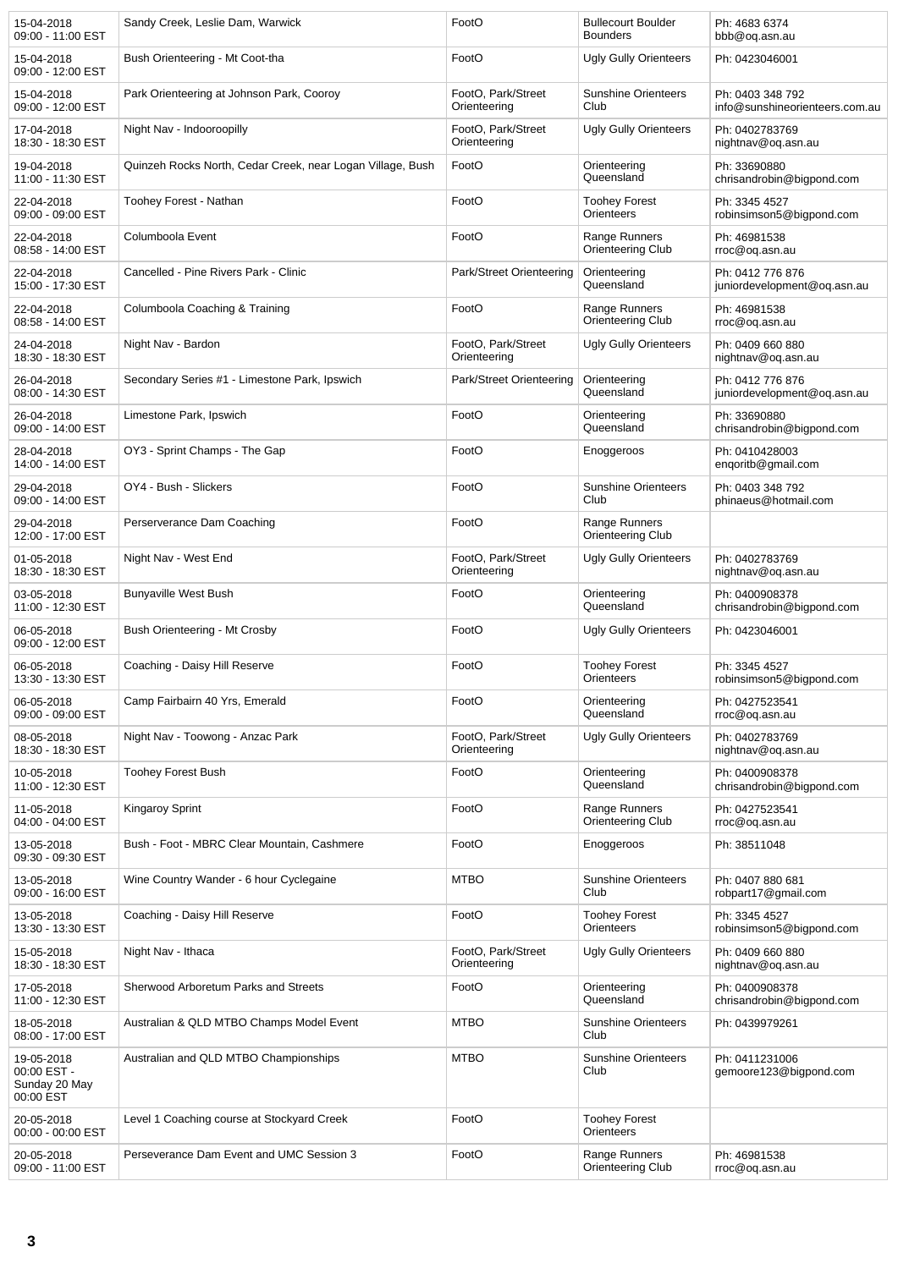| 15-04-2018<br>09:00 - 11:00 EST                         | Sandy Creek, Leslie Dam, Warwick                           | FootO                              | <b>Bullecourt Boulder</b><br><b>Bounders</b> | Ph: 4683 6374<br>bbb@oq.asn.au                     |
|---------------------------------------------------------|------------------------------------------------------------|------------------------------------|----------------------------------------------|----------------------------------------------------|
| 15-04-2018<br>09:00 - 12:00 EST                         | Bush Orienteering - Mt Coot-tha                            | FootO                              | <b>Ugly Gully Orienteers</b>                 | Ph: 0423046001                                     |
| 15-04-2018<br>09:00 - 12:00 EST                         | Park Orienteering at Johnson Park, Cooroy                  | FootO, Park/Street<br>Orienteering | <b>Sunshine Orienteers</b><br>Club           | Ph: 0403 348 792<br>info@sunshineorienteers.com.au |
| 17-04-2018<br>18:30 - 18:30 EST                         | Night Nav - Indooroopilly                                  | FootO, Park/Street<br>Orienteering | <b>Ugly Gully Orienteers</b>                 | Ph: 0402783769<br>nightnav@oq.asn.au               |
| 19-04-2018<br>11:00 - 11:30 EST                         | Quinzeh Rocks North, Cedar Creek, near Logan Village, Bush | FootO                              | Orienteering<br>Queensland                   | Ph: 33690880<br>chrisandrobin@bigpond.com          |
| 22-04-2018<br>09:00 - 09:00 EST                         | Toohey Forest - Nathan                                     | FootO                              | <b>Toohey Forest</b><br>Orienteers           | Ph: 3345 4527<br>robinsimson5@bigpond.com          |
| 22-04-2018<br>08:58 - 14:00 EST                         | Columboola Event                                           | FootO                              | Range Runners<br>Orienteering Club           | Ph: 46981538<br>rroc@oq.asn.au                     |
| 22-04-2018<br>15:00 - 17:30 EST                         | Cancelled - Pine Rivers Park - Clinic                      | Park/Street Orienteering           | Orienteering<br>Queensland                   | Ph: 0412 776 876<br>juniordevelopment@oq.asn.au    |
| 22-04-2018<br>08:58 - 14:00 EST                         | Columboola Coaching & Training                             | FootO                              | Range Runners<br>Orienteering Club           | Ph: 46981538<br>rroc@oq.asn.au                     |
| 24-04-2018<br>18:30 - 18:30 EST                         | Night Nav - Bardon                                         | FootO, Park/Street<br>Orienteering | <b>Ugly Gully Orienteers</b>                 | Ph: 0409 660 880<br>nightnav@oq.asn.au             |
| 26-04-2018<br>08:00 - 14:30 EST                         | Secondary Series #1 - Limestone Park, Ipswich              | Park/Street Orienteering           | Orienteering<br>Queensland                   | Ph: 0412 776 876<br>juniordevelopment@oq.asn.au    |
| 26-04-2018<br>09:00 - 14:00 EST                         | Limestone Park, Ipswich                                    | FootO                              | Orienteering<br>Queensland                   | Ph: 33690880<br>chrisandrobin@bigpond.com          |
| 28-04-2018<br>14:00 - 14:00 EST                         | OY3 - Sprint Champs - The Gap                              | FootO                              | Enoggeroos                                   | Ph: 0410428003<br>engoritb@gmail.com               |
| 29-04-2018<br>09:00 - 14:00 EST                         | OY4 - Bush - Slickers                                      | FootO                              | <b>Sunshine Orienteers</b><br>Club           | Ph: 0403 348 792<br>phinaeus@hotmail.com           |
| 29-04-2018<br>12:00 - 17:00 EST                         | Perserverance Dam Coaching                                 | FootO                              | Range Runners<br>Orienteering Club           |                                                    |
| 01-05-2018<br>18:30 - 18:30 EST                         | Night Nav - West End                                       | FootO, Park/Street<br>Orienteering | <b>Ugly Gully Orienteers</b>                 | Ph: 0402783769<br>nightnav@oq.asn.au               |
| 03-05-2018<br>11:00 - 12:30 EST                         | <b>Bunyaville West Bush</b>                                | FootO                              | Orienteering<br>Queensland                   | Ph: 0400908378<br>chrisandrobin@bigpond.com        |
| 06-05-2018<br>09:00 - 12:00 EST                         | Bush Orienteering - Mt Crosby                              | FootO                              | Ugly Gully Orienteers                        | Ph: 0423046001                                     |
| 06-05-2018<br>13:30 - 13:30 EST                         | Coaching - Daisy Hill Reserve                              | FootO                              | <b>Toohey Forest</b><br>Orienteers           | Ph: 3345 4527<br>robinsimson5@bigpond.com          |
| 06-05-2018<br>09:00 - 09:00 EST                         | Camp Fairbairn 40 Yrs, Emerald                             | FootO                              | Orienteering<br>Queensland                   | Ph: 0427523541<br>rroc@oq.asn.au                   |
| 08-05-2018<br>18:30 - 18:30 EST                         | Night Nav - Toowong - Anzac Park                           | FootO, Park/Street<br>Orienteering | <b>Ugly Gully Orienteers</b>                 | Ph: 0402783769<br>nightnav@oq.asn.au               |
| 10-05-2018<br>11:00 - 12:30 EST                         | <b>Toohey Forest Bush</b>                                  | FootO                              | Orienteering<br>Queensland                   | Ph: 0400908378<br>chrisandrobin@bigpond.com        |
| 11-05-2018<br>04:00 - 04:00 EST                         | <b>Kingarov Sprint</b>                                     | FootO                              | Range Runners<br>Orienteering Club           | Ph: 0427523541<br>rroc@oq.asn.au                   |
| 13-05-2018<br>09:30 - 09:30 EST                         | Bush - Foot - MBRC Clear Mountain, Cashmere                | FootO                              | Enoggeroos                                   | Ph: 38511048                                       |
| 13-05-2018<br>09:00 - 16:00 EST                         | Wine Country Wander - 6 hour Cyclegaine                    | <b>MTBO</b>                        | <b>Sunshine Orienteers</b><br>Club           | Ph: 0407 880 681<br>robpart17@gmail.com            |
| 13-05-2018<br>13:30 - 13:30 EST                         | Coaching - Daisy Hill Reserve                              | FootO                              | <b>Toohey Forest</b><br>Orienteers           | Ph: 3345 4527<br>robinsimson5@bigpond.com          |
| 15-05-2018<br>18:30 - 18:30 EST                         | Night Nav - Ithaca                                         | FootO, Park/Street<br>Orienteering | <b>Ugly Gully Orienteers</b>                 | Ph: 0409 660 880<br>nightnav@oq.asn.au             |
| 17-05-2018<br>11:00 - 12:30 EST                         | Sherwood Arboretum Parks and Streets                       | FootO                              | Orienteering<br>Queensland                   | Ph: 0400908378<br>chrisandrobin@bigpond.com        |
| 18-05-2018<br>08:00 - 17:00 EST                         | Australian & QLD MTBO Champs Model Event                   | <b>MTBO</b>                        | <b>Sunshine Orienteers</b><br>Club           | Ph: 0439979261                                     |
| 19-05-2018<br>00:00 EST -<br>Sunday 20 May<br>00:00 EST | Australian and QLD MTBO Championships                      | <b>MTBO</b>                        | <b>Sunshine Orienteers</b><br>Club           | Ph: 0411231006<br>gemoore123@bigpond.com           |
| 20-05-2018<br>00:00 - 00:00 EST                         | Level 1 Coaching course at Stockyard Creek                 | FootO                              | <b>Toohey Forest</b><br><b>Orienteers</b>    |                                                    |
| 20-05-2018<br>09:00 - 11:00 EST                         | Perseverance Dam Event and UMC Session 3                   | FootO                              | Range Runners<br>Orienteering Club           | Ph: 46981538<br>rroc@oq.asn.au                     |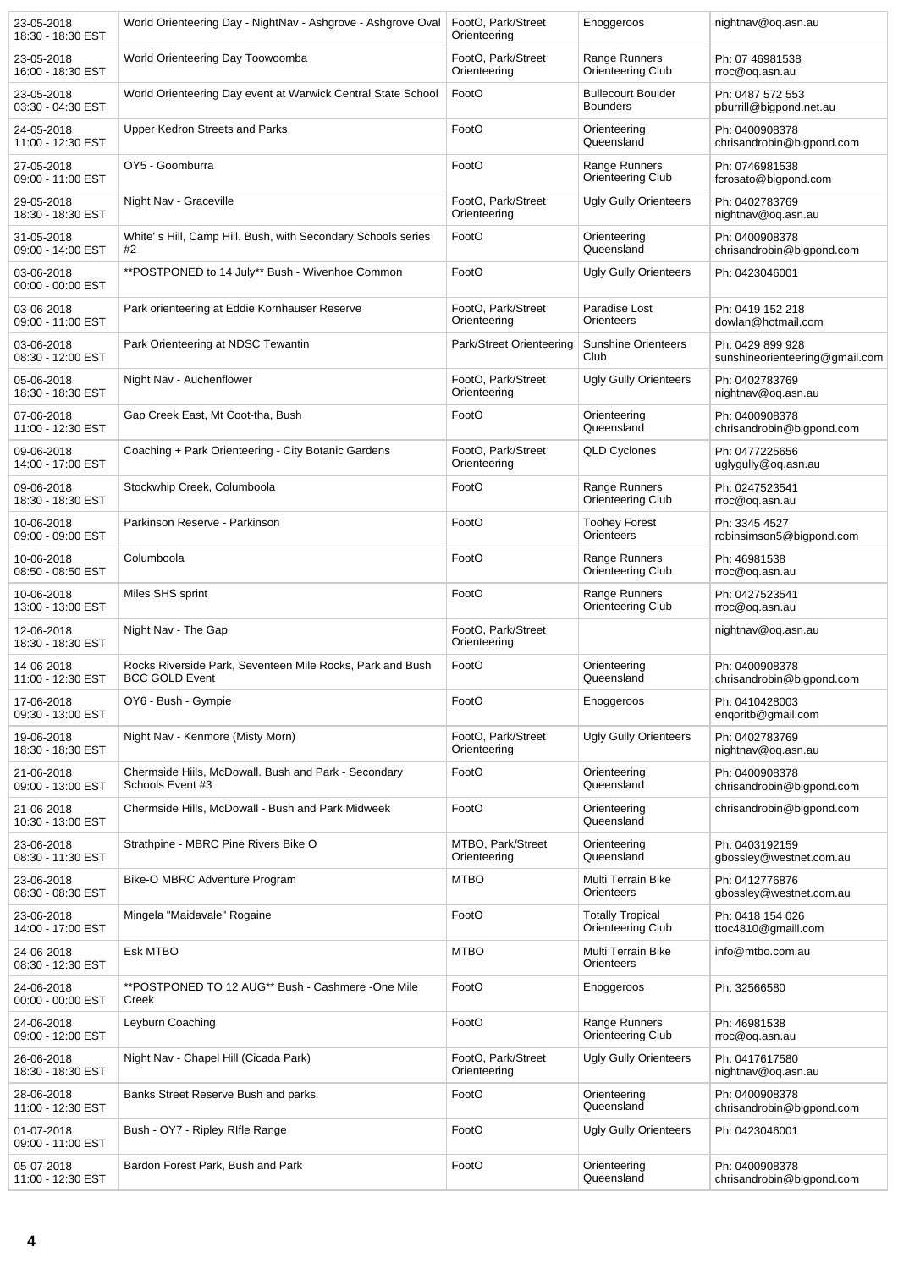| 23-05-2018<br>18:30 - 18:30 EST | World Orienteering Day - NightNav - Ashgrove - Ashgrove Oval                       | FootO, Park/Street<br>Orienteering | Enoggeroos                                   | nightnav@oq.asn.au                                 |
|---------------------------------|------------------------------------------------------------------------------------|------------------------------------|----------------------------------------------|----------------------------------------------------|
| 23-05-2018<br>16:00 - 18:30 EST | World Orienteering Day Toowoomba                                                   | FootO, Park/Street<br>Orienteering | Range Runners<br>Orienteering Club           | Ph: 07 46981538<br>rroc@og.asn.au                  |
| 23-05-2018<br>03:30 - 04:30 EST | World Orienteering Day event at Warwick Central State School                       | FootO                              | <b>Bullecourt Boulder</b><br><b>Bounders</b> | Ph: 0487 572 553<br>pburrill@bigpond.net.au        |
| 24-05-2018<br>11:00 - 12:30 EST | <b>Upper Kedron Streets and Parks</b>                                              | FootO                              | Orienteering<br>Queensland                   | Ph: 0400908378<br>chrisandrobin@bigpond.com        |
| 27-05-2018<br>09:00 - 11:00 EST | OY5 - Goomburra                                                                    | FootO                              | Range Runners<br>Orienteering Club           | Ph: 0746981538<br>fcrosato@bigpond.com             |
| 29-05-2018<br>18:30 - 18:30 EST | Night Nav - Graceville                                                             | FootO, Park/Street<br>Orienteering | <b>Ugly Gully Orienteers</b>                 | Ph: 0402783769<br>nightnav@oq.asn.au               |
| 31-05-2018<br>09:00 - 14:00 EST | White's Hill, Camp Hill. Bush, with Secondary Schools series<br>#2                 | FootO                              | Orienteering<br>Queensland                   | Ph: 0400908378<br>chrisandrobin@bigpond.com        |
| 03-06-2018<br>00:00 - 00:00 EST | **POSTPONED to 14 July** Bush - Wivenhoe Common                                    | FootO                              | <b>Ugly Gully Orienteers</b>                 | Ph: 0423046001                                     |
| 03-06-2018<br>09:00 - 11:00 EST | Park orienteering at Eddie Kornhauser Reserve                                      | FootO, Park/Street<br>Orienteering | Paradise Lost<br>Orienteers                  | Ph: 0419 152 218<br>dowlan@hotmail.com             |
| 03-06-2018<br>08:30 - 12:00 EST | Park Orienteering at NDSC Tewantin                                                 | Park/Street Orienteering           | <b>Sunshine Orienteers</b><br>Club           | Ph: 0429 899 928<br>sunshineorienteering@gmail.com |
| 05-06-2018<br>18:30 - 18:30 EST | Night Nav - Auchenflower                                                           | FootO, Park/Street<br>Orienteering | <b>Ugly Gully Orienteers</b>                 | Ph: 0402783769<br>nightnav@oq.asn.au               |
| 07-06-2018<br>11:00 - 12:30 EST | Gap Creek East, Mt Coot-tha, Bush                                                  | FootO                              | Orienteering<br>Queensland                   | Ph: 0400908378<br>chrisandrobin@bigpond.com        |
| 09-06-2018<br>14:00 - 17:00 EST | Coaching + Park Orienteering - City Botanic Gardens                                | FootO, Park/Street<br>Orienteering | <b>QLD Cyclones</b>                          | Ph: 0477225656<br>uglygully@oq.asn.au              |
| 09-06-2018<br>18:30 - 18:30 EST | Stockwhip Creek, Columboola                                                        | FootO                              | Range Runners<br>Orienteering Club           | Ph: 0247523541<br>rroc@oq.asn.au                   |
| 10-06-2018<br>09:00 - 09:00 EST | Parkinson Reserve - Parkinson                                                      | FootO                              | <b>Toohey Forest</b><br>Orienteers           | Ph: 3345 4527<br>robinsimson5@bigpond.com          |
| 10-06-2018<br>08:50 - 08:50 EST | Columboola                                                                         | FootO                              | Range Runners<br>Orienteering Club           | Ph: 46981538<br>rroc@oq.asn.au                     |
| 10-06-2018<br>13:00 - 13:00 EST | Miles SHS sprint                                                                   | FootO                              | Range Runners<br>Orienteering Club           | Ph: 0427523541<br>rroc@oq.asn.au                   |
| 12-06-2018<br>18:30 - 18:30 EST | Night Nav - The Gap                                                                | FootO, Park/Street<br>Orienteering |                                              | nightnav@oq.asn.au                                 |
| 14-06-2018<br>11:00 - 12:30 EST | Rocks Riverside Park, Seventeen Mile Rocks, Park and Bush<br><b>BCC GOLD Event</b> | FootO                              | Orienteering<br>Queensland                   | Ph: 0400908378<br>chrisandrobin@bigpond.com        |
| 17-06-2018<br>09:30 - 13:00 EST | OY6 - Bush - Gympie                                                                | FootO                              | Enoggeroos                                   | Ph: 0410428003<br>engoritb@gmail.com               |
| 19-06-2018<br>18:30 - 18:30 EST | Night Nav - Kenmore (Misty Morn)                                                   | FootO, Park/Street<br>Orienteering | <b>Ugly Gully Orienteers</b>                 | Ph: 0402783769<br>nightnav@oq.asn.au               |
| 21-06-2018<br>09:00 - 13:00 EST | Chermside Hiils, McDowall. Bush and Park - Secondary<br>Schools Event #3           | FootO                              | Orienteering<br>Queensland                   | Ph: 0400908378<br>chrisandrobin@bigpond.com        |
| 21-06-2018<br>10:30 - 13:00 EST | Chermside Hills, McDowall - Bush and Park Midweek                                  | FootO                              | Orienteering<br>Queensland                   | chrisandrobin@bigpond.com                          |
| 23-06-2018<br>08:30 - 11:30 EST | Strathpine - MBRC Pine Rivers Bike O                                               | MTBO, Park/Street<br>Orienteering  | Orienteering<br>Queensland                   | Ph: 0403192159<br>gbossley@westnet.com.au          |
| 23-06-2018<br>08:30 - 08:30 EST | Bike-O MBRC Adventure Program                                                      | <b>MTBO</b>                        | Multi Terrain Bike<br>Orienteers             | Ph: 0412776876<br>gbossley@westnet.com.au          |
| 23-06-2018<br>14:00 - 17:00 EST | Mingela "Maidavale" Rogaine                                                        | FootO                              | <b>Totally Tropical</b><br>Orienteering Club | Ph: 0418 154 026<br>ttoc4810@gmaill.com            |
| 24-06-2018<br>08:30 - 12:30 EST | Esk MTBO                                                                           | <b>MTBO</b>                        | Multi Terrain Bike<br>Orienteers             | info@mtbo.com.au                                   |
| 24-06-2018<br>00:00 - 00:00 EST | **POSTPONED TO 12 AUG** Bush - Cashmere -One Mile<br>Creek                         | FootO                              | Enoggeroos                                   | Ph: 32566580                                       |
| 24-06-2018<br>09:00 - 12:00 EST | Leyburn Coaching                                                                   | FootO                              | Range Runners<br>Orienteering Club           | Ph: 46981538<br>rroc@oq.asn.au                     |
| 26-06-2018<br>18:30 - 18:30 EST | Night Nav - Chapel Hill (Cicada Park)                                              | FootO, Park/Street<br>Orienteering | <b>Ugly Gully Orienteers</b>                 | Ph: 0417617580<br>nightnav@oq.asn.au               |
| 28-06-2018<br>11:00 - 12:30 EST | Banks Street Reserve Bush and parks.                                               | FootO                              | Orienteering<br>Queensland                   | Ph: 0400908378<br>chrisandrobin@bigpond.com        |
| 01-07-2018<br>09:00 - 11:00 EST | Bush - OY7 - Ripley Rifle Range                                                    | FootO                              | <b>Ugly Gully Orienteers</b>                 | Ph: 0423046001                                     |
| 05-07-2018<br>11:00 - 12:30 EST | Bardon Forest Park, Bush and Park                                                  | FootO                              | Orienteering<br>Queensland                   | Ph: 0400908378<br>chrisandrobin@bigpond.com        |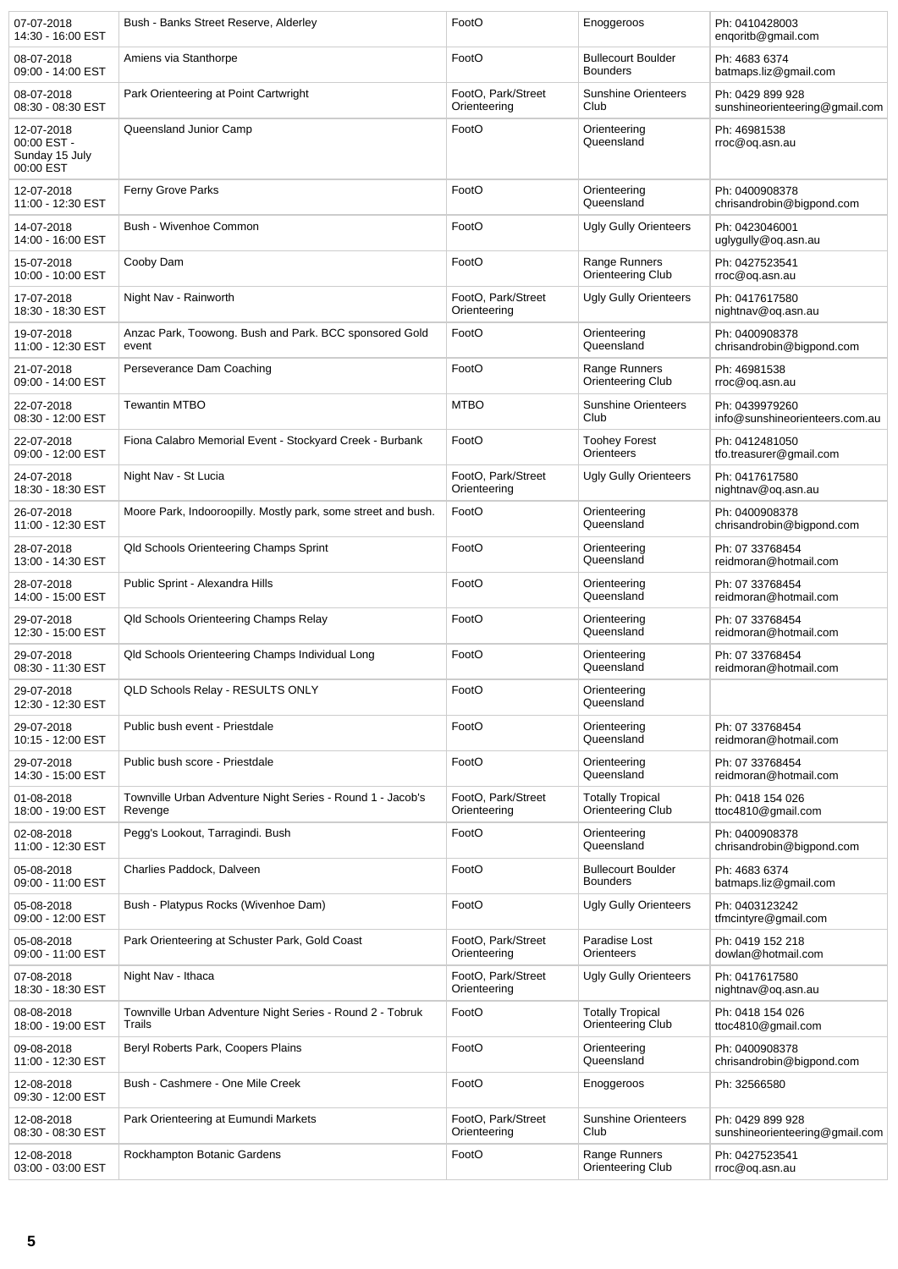| 07-07-2018<br>14:30 - 16:00 EST                          | Bush - Banks Street Reserve, Alderley                                 | FootO                              | Enoggeroos                                   | Ph: 0410428003<br>enqoritb@gmail.com               |
|----------------------------------------------------------|-----------------------------------------------------------------------|------------------------------------|----------------------------------------------|----------------------------------------------------|
| 08-07-2018<br>09:00 - 14:00 EST                          | Amiens via Stanthorpe                                                 | FootO                              | <b>Bullecourt Boulder</b><br><b>Bounders</b> | Ph: 4683 6374<br>batmaps.liz@gmail.com             |
| 08-07-2018<br>08:30 - 08:30 EST                          | Park Orienteering at Point Cartwright                                 | FootO, Park/Street<br>Orienteering | <b>Sunshine Orienteers</b><br>Club           | Ph: 0429 899 928<br>sunshineorienteering@gmail.com |
| 12-07-2018<br>00:00 EST -<br>Sunday 15 July<br>00:00 EST | Queensland Junior Camp                                                | FootO                              | Orienteering<br>Queensland                   | Ph: 46981538<br>rroc@oq.asn.au                     |
| 12-07-2018<br>11:00 - 12:30 EST                          | Ferny Grove Parks                                                     | FootO                              | Orienteering<br>Queensland                   | Ph: 0400908378<br>chrisandrobin@bigpond.com        |
| 14-07-2018<br>14:00 - 16:00 EST                          | Bush - Wivenhoe Common                                                | FootO                              | <b>Ugly Gully Orienteers</b>                 | Ph: 0423046001<br>uglygully@oq.asn.au              |
| 15-07-2018<br>10:00 - 10:00 EST                          | Cooby Dam                                                             | FootO                              | Range Runners<br>Orienteering Club           | Ph: 0427523541<br>rroc@oq.asn.au                   |
| 17-07-2018<br>18:30 - 18:30 EST                          | Night Nav - Rainworth                                                 | FootO, Park/Street<br>Orienteering | <b>Ugly Gully Orienteers</b>                 | Ph: 0417617580<br>nightnav@oq.asn.au               |
| 19-07-2018<br>11:00 - 12:30 EST                          | Anzac Park, Toowong. Bush and Park. BCC sponsored Gold<br>event       | FootO                              | Orienteering<br>Queensland                   | Ph: 0400908378<br>chrisandrobin@bigpond.com        |
| 21-07-2018<br>09:00 - 14:00 EST                          | Perseverance Dam Coaching                                             | FootO                              | Range Runners<br>Orienteering Club           | Ph: 46981538<br>rroc@oq.asn.au                     |
| 22-07-2018<br>08:30 - 12:00 EST                          | <b>Tewantin MTBO</b>                                                  | <b>MTBO</b>                        | <b>Sunshine Orienteers</b><br>Club           | Ph: 0439979260<br>info@sunshineorienteers.com.au   |
| 22-07-2018<br>09:00 - 12:00 EST                          | Fiona Calabro Memorial Event - Stockyard Creek - Burbank              | FootO                              | <b>Toohey Forest</b><br>Orienteers           | Ph: 0412481050<br>tfo.treasurer@gmail.com          |
| 24-07-2018<br>18:30 - 18:30 EST                          | Night Nav - St Lucia                                                  | FootO, Park/Street<br>Orienteering | <b>Ugly Gully Orienteers</b>                 | Ph: 0417617580<br>nightnav@oq.asn.au               |
| 26-07-2018<br>11:00 - 12:30 EST                          | Moore Park, Indooroopilly. Mostly park, some street and bush.         | FootO                              | Orienteering<br>Queensland                   | Ph: 0400908378<br>chrisandrobin@bigpond.com        |
| 28-07-2018<br>13:00 - 14:30 EST                          | Qld Schools Orienteering Champs Sprint                                | FootO                              | Orienteering<br>Queensland                   | Ph: 07 33768454<br>reidmoran@hotmail.com           |
| 28-07-2018<br>14:00 - 15:00 EST                          | Public Sprint - Alexandra Hills                                       | FootO                              | Orienteering<br>Queensland                   | Ph: 07 33768454<br>reidmoran@hotmail.com           |
| 29-07-2018<br>12:30 - 15:00 EST                          | Qld Schools Orienteering Champs Relay                                 | FootO                              | Orienteering<br>Queensland                   | Ph: 07 33768454<br>reidmoran@hotmail.com           |
| 29-07-2018<br>08:30 - 11:30 EST                          | Qld Schools Orienteering Champs Individual Long                       | FootO                              | Orienteering<br>Queensland                   | Ph: 07 33768454<br>reidmoran@hotmail.com           |
| 29-07-2018<br>12:30 - 12:30 EST                          | QLD Schools Relay - RESULTS ONLY                                      | FootO                              | Orienteering<br>Queensland                   |                                                    |
| 29-07-2018<br>10:15 - 12:00 EST                          | Public bush event - Priestdale                                        | FootO                              | Orienteering<br>Queensland                   | Ph: 07 33768454<br>reidmoran@hotmail.com           |
| 29-07-2018<br>14:30 - 15:00 EST                          | Public bush score - Priestdale                                        | FootO                              | Orienteering<br>Queensland                   | Ph: 07 33768454<br>reidmoran@hotmail.com           |
| 01-08-2018<br>18:00 - 19:00 EST                          | Townville Urban Adventure Night Series - Round 1 - Jacob's<br>Revenge | FootO, Park/Street<br>Orienteering | <b>Totally Tropical</b><br>Orienteering Club | Ph: 0418 154 026<br>ttoc4810@gmail.com             |
| 02-08-2018<br>11:00 - 12:30 EST                          | Pegg's Lookout, Tarragindi. Bush                                      | FootO                              | Orienteering<br>Queensland                   | Ph: 0400908378<br>chrisandrobin@bigpond.com        |
| 05-08-2018<br>09:00 - 11:00 EST                          | Charlies Paddock, Dalveen                                             | FootO                              | <b>Bullecourt Boulder</b><br><b>Bounders</b> | Ph: 4683 6374<br>batmaps.liz@gmail.com             |
| 05-08-2018<br>09:00 - 12:00 EST                          | Bush - Platypus Rocks (Wivenhoe Dam)                                  | FootO                              | <b>Ugly Gully Orienteers</b>                 | Ph: 0403123242<br>tfmcintyre@gmail.com             |
| 05-08-2018<br>09:00 - 11:00 EST                          | Park Orienteering at Schuster Park, Gold Coast                        | FootO, Park/Street<br>Orienteering | Paradise Lost<br>Orienteers                  | Ph: 0419 152 218<br>dowlan@hotmail.com             |
| 07-08-2018<br>18:30 - 18:30 EST                          | Night Nav - Ithaca                                                    | FootO, Park/Street<br>Orienteering | <b>Ugly Gully Orienteers</b>                 | Ph: 0417617580<br>nightnav@oq.asn.au               |
| 08-08-2018<br>18:00 - 19:00 EST                          | Townville Urban Adventure Night Series - Round 2 - Tobruk<br>Trails   | FootO                              | <b>Totally Tropical</b><br>Orienteering Club | Ph: 0418 154 026<br>ttoc4810@gmail.com             |
| 09-08-2018<br>11:00 - 12:30 EST                          | Beryl Roberts Park, Coopers Plains                                    | FootO                              | Orienteering<br>Queensland                   | Ph: 0400908378<br>chrisandrobin@bigpond.com        |
| 12-08-2018<br>09:30 - 12:00 EST                          | Bush - Cashmere - One Mile Creek                                      | FootO                              | Enoggeroos                                   | Ph: 32566580                                       |
| 12-08-2018<br>08:30 - 08:30 EST                          | Park Orienteering at Eumundi Markets                                  | FootO, Park/Street<br>Orienteering | <b>Sunshine Orienteers</b><br>Club           | Ph: 0429 899 928<br>sunshineorienteering@gmail.com |
| 12-08-2018<br>03:00 - 03:00 EST                          | Rockhampton Botanic Gardens                                           | FootO                              | Range Runners<br>Orienteering Club           | Ph: 0427523541<br>rroc@oq.asn.au                   |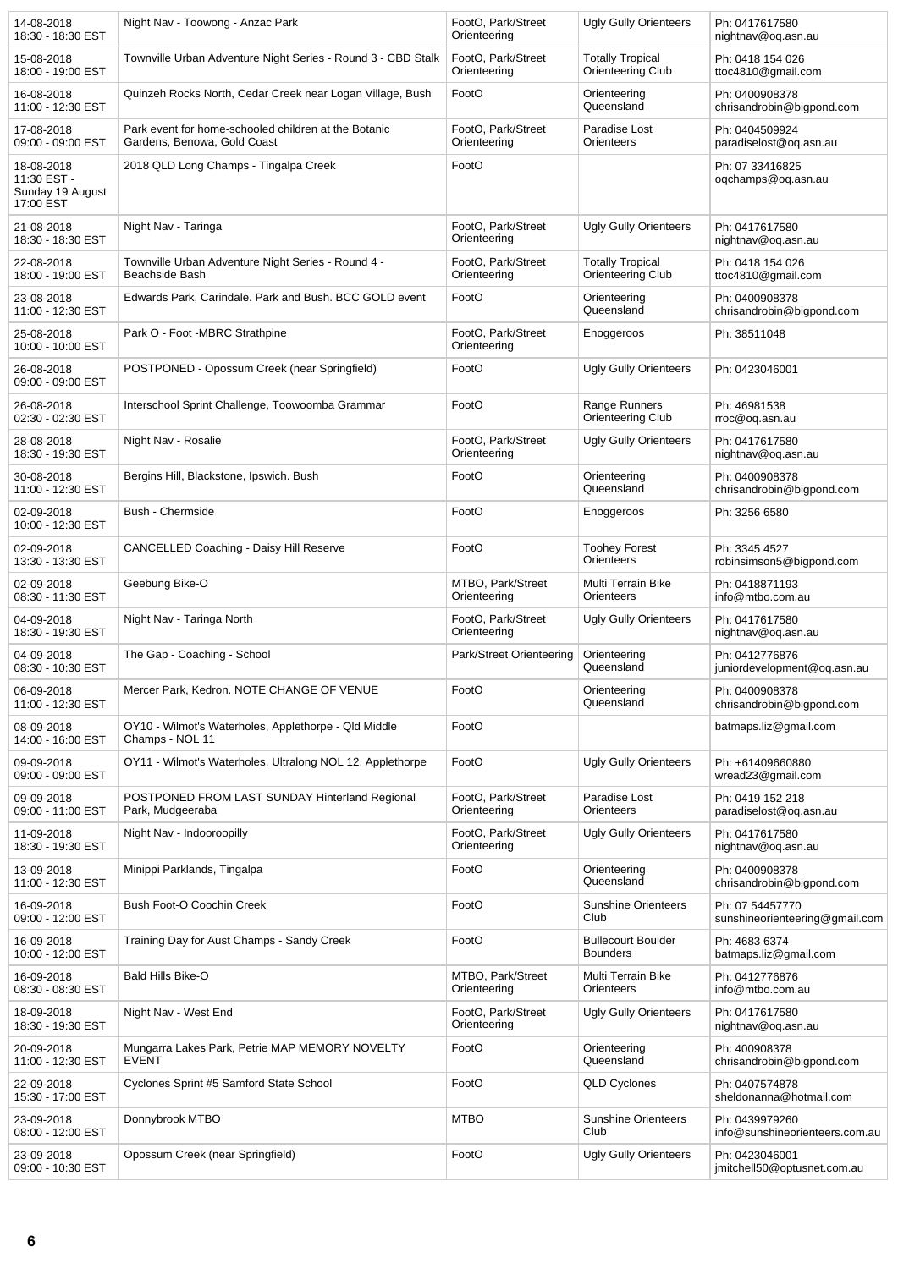| 14-08-2018<br>18:30 - 18:30 EST                            | Night Nav - Toowong - Anzac Park                                                    | FootO, Park/Street<br>Orienteering | <b>Ugly Gully Orienteers</b>                 | Ph: 0417617580<br>nightnav@oq.asn.au              |
|------------------------------------------------------------|-------------------------------------------------------------------------------------|------------------------------------|----------------------------------------------|---------------------------------------------------|
| 15-08-2018<br>18:00 - 19:00 EST                            | Townville Urban Adventure Night Series - Round 3 - CBD Stalk                        | FootO, Park/Street<br>Orienteering | <b>Totally Tropical</b><br>Orienteering Club | Ph: 0418 154 026<br>ttoc4810@gmail.com            |
| 16-08-2018<br>11:00 - 12:30 EST                            | Quinzeh Rocks North, Cedar Creek near Logan Village, Bush                           | FootO                              | Orienteering<br>Queensland                   | Ph: 0400908378<br>chrisandrobin@bigpond.com       |
| 17-08-2018<br>09:00 - 09:00 EST                            | Park event for home-schooled children at the Botanic<br>Gardens, Benowa, Gold Coast | FootO, Park/Street<br>Orienteering | Paradise Lost<br>Orienteers                  | Ph: 0404509924<br>paradiselost@oq.asn.au          |
| 18-08-2018<br>11:30 EST -<br>Sunday 19 August<br>17:00 EST | 2018 QLD Long Champs - Tingalpa Creek                                               | FootO                              |                                              | Ph: 07 33416825<br>oqchamps@oq.asn.au             |
| 21-08-2018<br>18:30 - 18:30 EST                            | Night Nav - Taringa                                                                 | FootO, Park/Street<br>Orienteering | <b>Ugly Gully Orienteers</b>                 | Ph: 0417617580<br>nightnav@oq.asn.au              |
| 22-08-2018<br>18:00 - 19:00 EST                            | Townville Urban Adventure Night Series - Round 4 -<br>Beachside Bash                | FootO, Park/Street<br>Orienteering | <b>Totally Tropical</b><br>Orienteering Club | Ph: 0418 154 026<br>ttoc4810@gmail.com            |
| 23-08-2018<br>11:00 - 12:30 EST                            | Edwards Park, Carindale. Park and Bush. BCC GOLD event                              | FootO                              | Orienteering<br>Queensland                   | Ph: 0400908378<br>chrisandrobin@bigpond.com       |
| 25-08-2018<br>10:00 - 10:00 EST                            | Park O - Foot -MBRC Strathpine                                                      | FootO, Park/Street<br>Orienteering | Enoggeroos                                   | Ph: 38511048                                      |
| 26-08-2018<br>09:00 - 09:00 EST                            | POSTPONED - Opossum Creek (near Springfield)                                        | FootO                              | <b>Ugly Gully Orienteers</b>                 | Ph: 0423046001                                    |
| 26-08-2018<br>02:30 - 02:30 EST                            | Interschool Sprint Challenge, Toowoomba Grammar                                     | FootO                              | Range Runners<br>Orienteering Club           | Ph: 46981538<br>rroc@oq.asn.au                    |
| 28-08-2018<br>18:30 - 19:30 EST                            | Night Nav - Rosalie                                                                 | FootO, Park/Street<br>Orienteering | <b>Ugly Gully Orienteers</b>                 | Ph: 0417617580<br>nightnav@oq.asn.au              |
| 30-08-2018<br>11:00 - 12:30 EST                            | Bergins Hill, Blackstone, Ipswich. Bush                                             | FootO                              | Orienteering<br>Queensland                   | Ph: 0400908378<br>chrisandrobin@bigpond.com       |
| 02-09-2018<br>10:00 - 12:30 EST                            | Bush - Chermside                                                                    | FootO                              | Enoggeroos                                   | Ph: 3256 6580                                     |
| 02-09-2018<br>13:30 - 13:30 EST                            | <b>CANCELLED Coaching - Daisy Hill Reserve</b>                                      | FootO                              | <b>Toohey Forest</b><br>Orienteers           | Ph: 3345 4527<br>robinsimson5@bigpond.com         |
| 02-09-2018<br>08:30 - 11:30 EST                            | Geebung Bike-O                                                                      | MTBO, Park/Street<br>Orienteering  | Multi Terrain Bike<br>Orienteers             | Ph: 0418871193<br>info@mtbo.com.au                |
| 04-09-2018<br>18:30 - 19:30 EST                            | Night Nav - Taringa North                                                           | FootO, Park/Street<br>Orienteering | <b>Ugly Gully Orienteers</b>                 | Ph: 0417617580<br>nightnav@oq.asn.au              |
| 04-09-2018<br>08:30 - 10:30 EST                            | The Gap - Coaching - School                                                         | Park/Street Orienteering           | Orienteering<br>Queensland                   | Ph: 0412776876<br>juniordevelopment@oq.asn.au     |
| 06-09-2018<br>11:00 - 12:30 EST                            | Mercer Park, Kedron. NOTE CHANGE OF VENUE                                           | FootO                              | Orienteering<br>Queensland                   | Ph: 0400908378<br>chrisandrobin@bigpond.com       |
| 08-09-2018<br>14:00 - 16:00 EST                            | OY10 - Wilmot's Waterholes, Applethorpe - Qld Middle<br>Champs - NOL 11             | FootO                              |                                              | batmaps.liz@gmail.com                             |
| 09-09-2018<br>09:00 - 09:00 EST                            | OY11 - Wilmot's Waterholes, Ultralong NOL 12, Applethorpe                           | FootO                              | <b>Ugly Gully Orienteers</b>                 | Ph: +61409660880<br>wread23@gmail.com             |
| 09-09-2018<br>09:00 - 11:00 EST                            | POSTPONED FROM LAST SUNDAY Hinterland Regional<br>Park, Mudgeeraba                  | FootO, Park/Street<br>Orienteering | Paradise Lost<br>Orienteers                  | Ph: 0419 152 218<br>paradiselost@oq.asn.au        |
| 11-09-2018<br>18:30 - 19:30 EST                            | Night Nav - Indooroopilly                                                           | FootO, Park/Street<br>Orienteering | <b>Ugly Gully Orienteers</b>                 | Ph: 0417617580<br>nightnav@oq.asn.au              |
| 13-09-2018<br>11:00 - 12:30 EST                            | Minippi Parklands, Tingalpa                                                         | FootO                              | Orienteering<br>Queensland                   | Ph: 0400908378<br>chrisandrobin@bigpond.com       |
| 16-09-2018<br>09:00 - 12:00 EST                            | Bush Foot-O Coochin Creek                                                           | FootO                              | <b>Sunshine Orienteers</b><br>Club           | Ph: 07 54457770<br>sunshineorienteering@gmail.com |
| 16-09-2018<br>10:00 - 12:00 EST                            | Training Day for Aust Champs - Sandy Creek                                          | FootO                              | <b>Bullecourt Boulder</b><br><b>Bounders</b> | Ph: 4683 6374<br>batmaps.liz@gmail.com            |
| 16-09-2018<br>08:30 - 08:30 EST                            | Bald Hills Bike-O                                                                   | MTBO, Park/Street<br>Orienteering  | Multi Terrain Bike<br>Orienteers             | Ph: 0412776876<br>info@mtbo.com.au                |
| 18-09-2018<br>18:30 - 19:30 EST                            | Night Nav - West End                                                                | FootO, Park/Street<br>Orienteering | <b>Ugly Gully Orienteers</b>                 | Ph: 0417617580<br>nightnav@oq.asn.au              |
| 20-09-2018<br>11:00 - 12:30 EST                            | Mungarra Lakes Park, Petrie MAP MEMORY NOVELTY<br><b>EVENT</b>                      | FootO                              | Orienteering<br>Queensland                   | Ph: 400908378<br>chrisandrobin@bigpond.com        |
| 22-09-2018<br>15:30 - 17:00 EST                            | Cyclones Sprint #5 Samford State School                                             | FootO                              | <b>QLD Cyclones</b>                          | Ph: 0407574878<br>sheldonanna@hotmail.com         |
| 23-09-2018<br>08:00 - 12:00 EST                            | Donnybrook MTBO                                                                     | <b>MTBO</b>                        | <b>Sunshine Orienteers</b><br>Club           | Ph: 0439979260<br>info@sunshineorienteers.com.au  |
| 23-09-2018<br>09:00 - 10:30 EST                            | Opossum Creek (near Springfield)                                                    | FootO                              | <b>Ugly Gully Orienteers</b>                 | Ph: 0423046001<br>jmitchell50@optusnet.com.au     |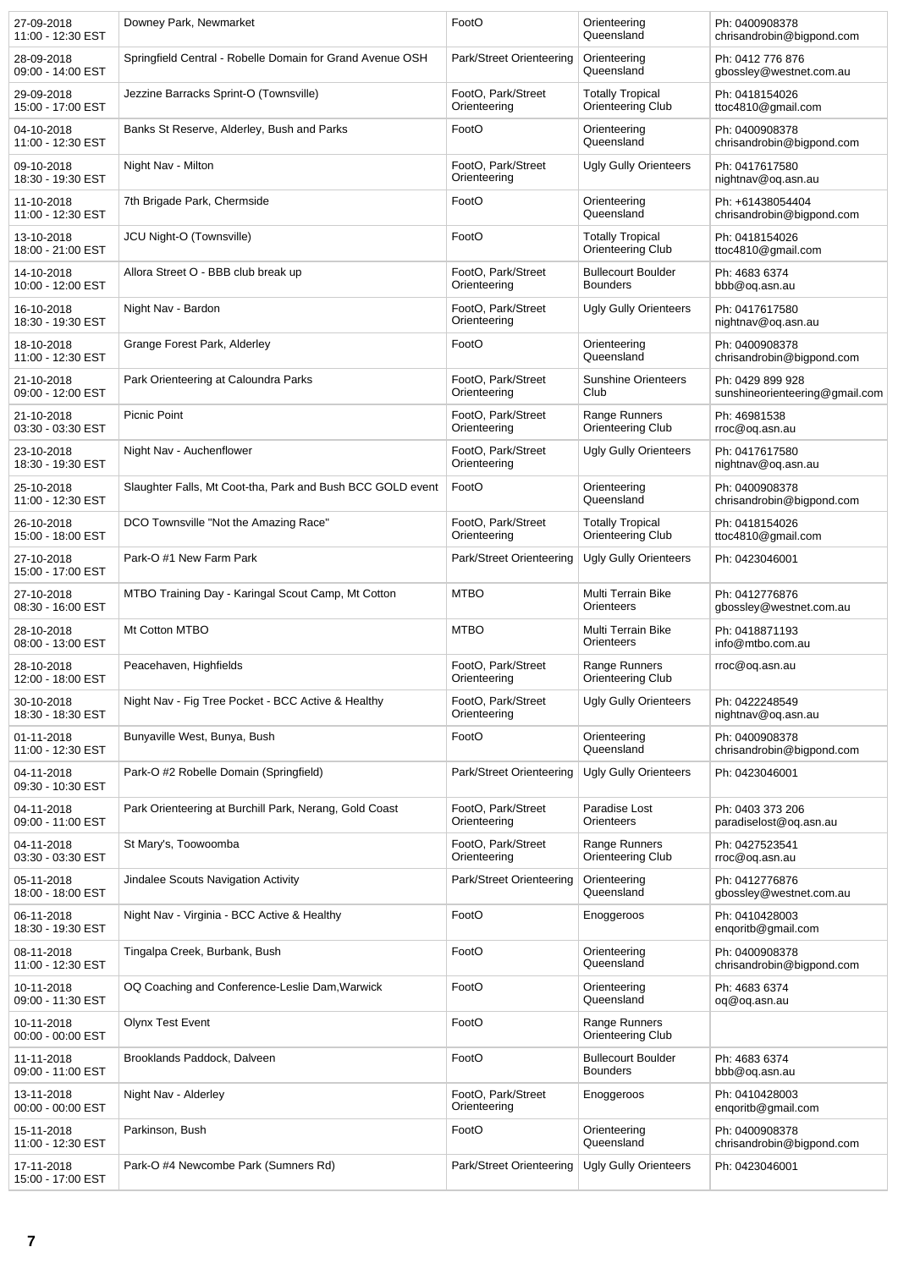| 27-09-2018<br>11:00 - 12:30 EST | Downey Park, Newmarket                                     | FootO                              | Orienteering<br>Queensland                   | Ph: 0400908378<br>chrisandrobin@bigpond.com        |
|---------------------------------|------------------------------------------------------------|------------------------------------|----------------------------------------------|----------------------------------------------------|
| 28-09-2018<br>09:00 - 14:00 EST | Springfield Central - Robelle Domain for Grand Avenue OSH  | Park/Street Orienteering           | Orienteering<br>Queensland                   | Ph: 0412 776 876<br>gbossley@westnet.com.au        |
| 29-09-2018<br>15:00 - 17:00 EST | Jezzine Barracks Sprint-O (Townsville)                     | FootO, Park/Street<br>Orienteering | <b>Totally Tropical</b><br>Orienteering Club | Ph: 0418154026<br>ttoc4810@gmail.com               |
| 04-10-2018<br>11:00 - 12:30 EST | Banks St Reserve, Alderley, Bush and Parks                 | FootO                              | Orienteering<br>Queensland                   | Ph: 0400908378<br>chrisandrobin@bigpond.com        |
| 09-10-2018<br>18:30 - 19:30 EST | Night Nav - Milton                                         | FootO, Park/Street<br>Orienteering | <b>Ugly Gully Orienteers</b>                 | Ph: 0417617580<br>nightnav@oq.asn.au               |
| 11-10-2018<br>11:00 - 12:30 EST | 7th Brigade Park, Chermside                                | FootO                              | Orienteering<br>Queensland                   | Ph: +61438054404<br>chrisandrobin@bigpond.com      |
| 13-10-2018<br>18:00 - 21:00 EST | JCU Night-O (Townsville)                                   | FootO                              | <b>Totally Tropical</b><br>Orienteering Club | Ph: 0418154026<br>ttoc4810@gmail.com               |
| 14-10-2018<br>10:00 - 12:00 EST | Allora Street O - BBB club break up                        | FootO, Park/Street<br>Orienteering | <b>Bullecourt Boulder</b><br><b>Bounders</b> | Ph: 4683 6374<br>bbb@oq.asn.au                     |
| 16-10-2018<br>18:30 - 19:30 EST | Night Nav - Bardon                                         | FootO, Park/Street<br>Orienteering | <b>Ugly Gully Orienteers</b>                 | Ph: 0417617580<br>nightnav@oq.asn.au               |
| 18-10-2018<br>11:00 - 12:30 EST | Grange Forest Park, Alderley                               | FootO                              | Orienteering<br>Queensland                   | Ph: 0400908378<br>chrisandrobin@bigpond.com        |
| 21-10-2018<br>09:00 - 12:00 EST | Park Orienteering at Caloundra Parks                       | FootO, Park/Street<br>Orienteering | <b>Sunshine Orienteers</b><br>Club           | Ph: 0429 899 928<br>sunshineorienteering@gmail.com |
| 21-10-2018<br>03:30 - 03:30 EST | <b>Picnic Point</b>                                        | FootO, Park/Street<br>Orienteering | Range Runners<br>Orienteering Club           | Ph: 46981538<br>rroc@oq.asn.au                     |
| 23-10-2018<br>18:30 - 19:30 EST | Night Nav - Auchenflower                                   | FootO, Park/Street<br>Orienteering | <b>Ugly Gully Orienteers</b>                 | Ph: 0417617580<br>nightnav@oq.asn.au               |
| 25-10-2018<br>11:00 - 12:30 EST | Slaughter Falls, Mt Coot-tha, Park and Bush BCC GOLD event | FootO                              | Orienteering<br>Queensland                   | Ph: 0400908378<br>chrisandrobin@bigpond.com        |
| 26-10-2018<br>15:00 - 18:00 EST | DCO Townsville "Not the Amazing Race"                      | FootO, Park/Street<br>Orienteering | <b>Totally Tropical</b><br>Orienteering Club | Ph: 0418154026<br>ttoc4810@gmail.com               |
| 27-10-2018<br>15:00 - 17:00 EST | Park-O#1 New Farm Park                                     | Park/Street Orienteering           | Ugly Gully Orienteers                        | Ph: 0423046001                                     |
| 27-10-2018<br>08:30 - 16:00 EST | MTBO Training Day - Karingal Scout Camp, Mt Cotton         | <b>MTBO</b>                        | Multi Terrain Bike<br>Orienteers             | Ph: 0412776876<br>gbossley@westnet.com.au          |
| 28-10-2018<br>08:00 - 13:00 EST | Mt Cotton MTBO                                             | <b>MTBO</b>                        | Multi Terrain Bike<br>Orienteers             | Ph: 0418871193<br>info@mtbo.com.au                 |
| 28-10-2018<br>12:00 - 18:00 EST | Peacehaven, Highfields                                     | FootO, Park/Street<br>Orienteering | Range Runners<br>Orienteering Club           | rroc@oq.asn.au                                     |
| 30-10-2018<br>18:30 - 18:30 EST | Night Nav - Fig Tree Pocket - BCC Active & Healthy         | FootO, Park/Street<br>Orienteering | <b>Ugly Gully Orienteers</b>                 | Ph: 0422248549<br>nightnav@oq.asn.au               |
| 01-11-2018<br>11:00 - 12:30 EST | Bunyaville West, Bunya, Bush                               | FootO                              | Orienteering<br>Queensland                   | Ph: 0400908378<br>chrisandrobin@bigpond.com        |
| 04-11-2018<br>09:30 - 10:30 EST | Park-O #2 Robelle Domain (Springfield)                     | Park/Street Orienteering           | <b>Ugly Gully Orienteers</b>                 | Ph: 0423046001                                     |
| 04-11-2018<br>09:00 - 11:00 EST | Park Orienteering at Burchill Park, Nerang, Gold Coast     | FootO. Park/Street<br>Orienteering | Paradise Lost<br>Orienteers                  | Ph: 0403 373 206<br>paradiselost@oq.asn.au         |
| 04-11-2018<br>03:30 - 03:30 EST | St Mary's, Toowoomba                                       | FootO, Park/Street<br>Orienteering | Range Runners<br>Orienteering Club           | Ph: 0427523541<br>rroc@oq.asn.au                   |
| 05-11-2018<br>18:00 - 18:00 EST | Jindalee Scouts Navigation Activity                        | Park/Street Orienteering           | Orienteering<br>Queensland                   | Ph: 0412776876<br>gbossley@westnet.com.au          |
| 06-11-2018<br>18:30 - 19:30 EST | Night Nav - Virginia - BCC Active & Healthy                | FootO                              | Enoggeroos                                   | Ph: 0410428003<br>engoritb@gmail.com               |
| 08-11-2018<br>11:00 - 12:30 EST | Tingalpa Creek, Burbank, Bush                              | FootO                              | Orienteering<br>Queensland                   | Ph: 0400908378<br>chrisandrobin@bigpond.com        |
| 10-11-2018<br>09:00 - 11:30 EST | OQ Coaching and Conference-Leslie Dam, Warwick             | FootO                              | Orienteering<br>Queensland                   | Ph: 4683 6374<br>oq@oq.asn.au                      |
| 10-11-2018<br>00:00 - 00:00 EST | <b>Olynx Test Event</b>                                    | FootO                              | Range Runners<br>Orienteering Club           |                                                    |
| 11-11-2018<br>09:00 - 11:00 EST | Brooklands Paddock, Dalveen                                | FootO                              | <b>Bullecourt Boulder</b><br><b>Bounders</b> | Ph: 4683 6374<br>bbb@oq.asn.au                     |
| 13-11-2018<br>00:00 - 00:00 EST | Night Nav - Alderley                                       | FootO, Park/Street<br>Orienteering | Enoggeroos                                   | Ph: 0410428003<br>engoritb@gmail.com               |
| 15-11-2018<br>11:00 - 12:30 EST | Parkinson, Bush                                            | FootO                              | Orienteering<br>Queensland                   | Ph: 0400908378<br>chrisandrobin@bigpond.com        |
| 17-11-2018<br>15:00 - 17:00 EST | Park-O #4 Newcombe Park (Sumners Rd)                       | Park/Street Orienteering           | Ugly Gully Orienteers                        | Ph: 0423046001                                     |